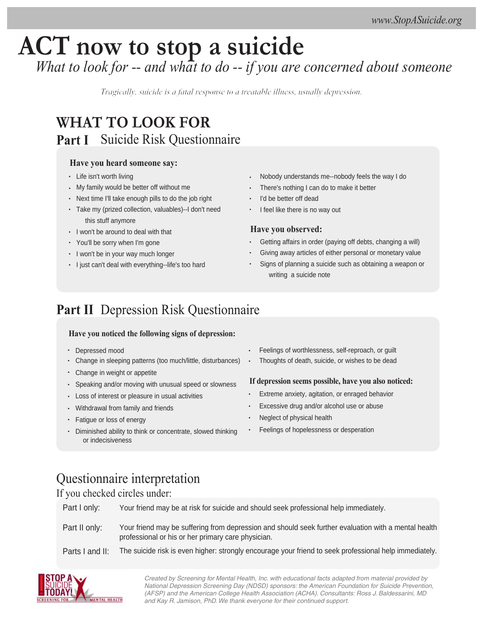# **ACT now to stop a suicide** *What to look for -- and what to do -- if you are concerned about someone*

*Tragically, suicide is a fatal response to a treatable illness, usually depression.*

## **Part I** Suicide Risk Questionnaire **WHAT TO LOOK FOR**

#### **Have you heard someone say:**

- Life isn't worth living
- My family would be better off without me
- Next time I'll take enough pills to do the job right
- Take my (prized collection, valuables)--I don't need this stuff anymore
- I won't be around to deal with that
- You'll be sorry when I'm gone
- I won't be in your way much longer
- I just can't deal with everything--life's too hard
- Nobody understands me--nobody feels the way I do
- There's nothing I can do to make it better
- I'd be better off dead
- I feel like there is no way out

#### **Have you observed:**

- Getting affairs in order (paying off debts, changing a will)
- Giving away articles of either personal or monetary value
- Signs of planning a suicide such as obtaining a weapon or writing a suicide note

## **Part II** Depression Risk Questionnaire

#### **Have you noticed the following signs of depression:**

- Depressed mood
- Change in sleeping patterns (too much/little, disturbances)
- Change in weight or appetite
- $\bullet$ Speaking and/or moving with unusual speed or slowness
- Loss of interest or pleasure in usual activities
- Withdrawal from family and friends
- Fatigue or loss of energy
- Diminished ability to think or concentrate, slowed thinking or indecisiveness
- Feelings of worthlessness, self-reproach, or guilt
- Thoughts of death, suicide, or wishes to be dead

#### **If depression seems possible, have you also noticed:**

- Extreme anxiety, agitation, or enraged behavior
- Excessive drug and/or alcohol use or abuse
- Neglect of physical health
- Feelings of hopelessness or desperation

## Questionnaire interpretation

#### If you checked circles under:

Part I only: Your friend may be at risk for suicide and should seek professional help immediately.

Part II only: Your friend may be suffering from depression and should seek further evaluation with a mental health professional or his or her primary care physician.

Parts I and II: The suicide risk is even higher: strongly encourage your friend to seek professional help immediately.



Created by Screening for Mental Health, Inc. with educational facts adapted from material provided by National Depression Screening Day (NDSD) sponsors: the American Foundation for Suicide Prevention, (AFSP) and the American College Health Association (ACHA). Consultants: Ross J. Baldessarini, MD and Kay R. Jamison, PhD. We thank everyone for their continued support.